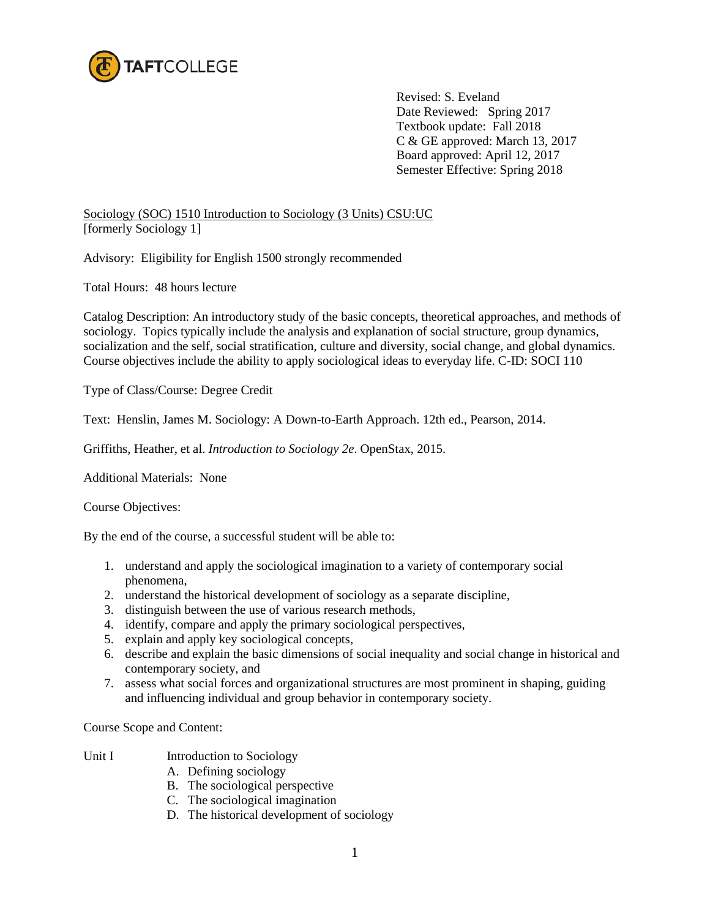

Revised: S. Eveland Date Reviewed: Spring 2017 Textbook update: Fall 2018 C & GE approved: March 13, 2017 Board approved: April 12, 2017 Semester Effective: Spring 2018

Sociology (SOC) 1510 Introduction to Sociology (3 Units) CSU:UC [formerly Sociology 1]

Advisory: Eligibility for English 1500 strongly recommended

Total Hours: 48 hours lecture

Catalog Description: An introductory study of the basic concepts, theoretical approaches, and methods of sociology. Topics typically include the analysis and explanation of social structure, group dynamics, socialization and the self, social stratification, culture and diversity, social change, and global dynamics. Course objectives include the ability to apply sociological ideas to everyday life. C-ID: SOCI 110

Type of Class/Course: Degree Credit

Text: Henslin, James M. Sociology: A Down-to-Earth Approach. 12th ed., Pearson, 2014.

Griffiths, Heather, et al. *Introduction to Sociology 2e*. OpenStax, 2015.

Additional Materials: None

Course Objectives:

By the end of the course, a successful student will be able to:

- 1. understand and apply the sociological imagination to a variety of contemporary social phenomena,
- 2. understand the historical development of sociology as a separate discipline,
- 3. distinguish between the use of various research methods,
- 4. identify, compare and apply the primary sociological perspectives,
- 5. explain and apply key sociological concepts,
- 6. describe and explain the basic dimensions of social inequality and social change in historical and contemporary society, and
- 7. assess what social forces and organizational structures are most prominent in shaping, guiding and influencing individual and group behavior in contemporary society.

Course Scope and Content:

- Unit I Introduction to Sociology
	- A. Defining sociology
	- B. The sociological perspective
	- C. The sociological imagination
	- D. The historical development of sociology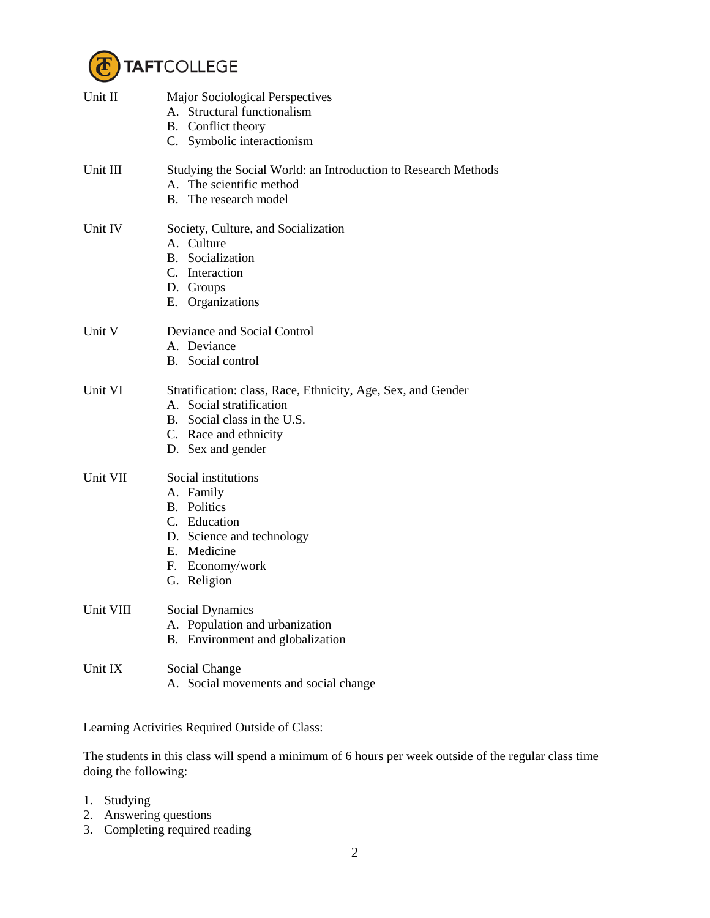

| Unit II   | Major Sociological Perspectives<br>A. Structural functionalism<br>B. Conflict theory<br>C. Symbolic interactionism                                                    |
|-----------|-----------------------------------------------------------------------------------------------------------------------------------------------------------------------|
| Unit III  | Studying the Social World: an Introduction to Research Methods<br>A. The scientific method<br>B. The research model                                                   |
| Unit IV   | Society, Culture, and Socialization<br>A. Culture<br>B. Socialization<br>C. Interaction<br>D. Groups<br>E. Organizations                                              |
| Unit V    | Deviance and Social Control<br>A. Deviance<br>B. Social control                                                                                                       |
| Unit VI   | Stratification: class, Race, Ethnicity, Age, Sex, and Gender<br>A. Social stratification<br>B. Social class in the U.S.<br>C. Race and ethnicity<br>D. Sex and gender |
| Unit VII  | Social institutions<br>A. Family<br><b>B.</b> Politics<br>C. Education<br>D. Science and technology<br>E. Medicine<br>F. Economy/work<br>G. Religion                  |
| Unit VIII | Social Dynamics<br>A. Population and urbanization<br>B. Environment and globalization                                                                                 |
| Unit IX   | Social Change<br>A. Social movements and social change                                                                                                                |

Learning Activities Required Outside of Class:

The students in this class will spend a minimum of 6 hours per week outside of the regular class time doing the following:

- 1. Studying
- 2. Answering questions
- 3. Completing required reading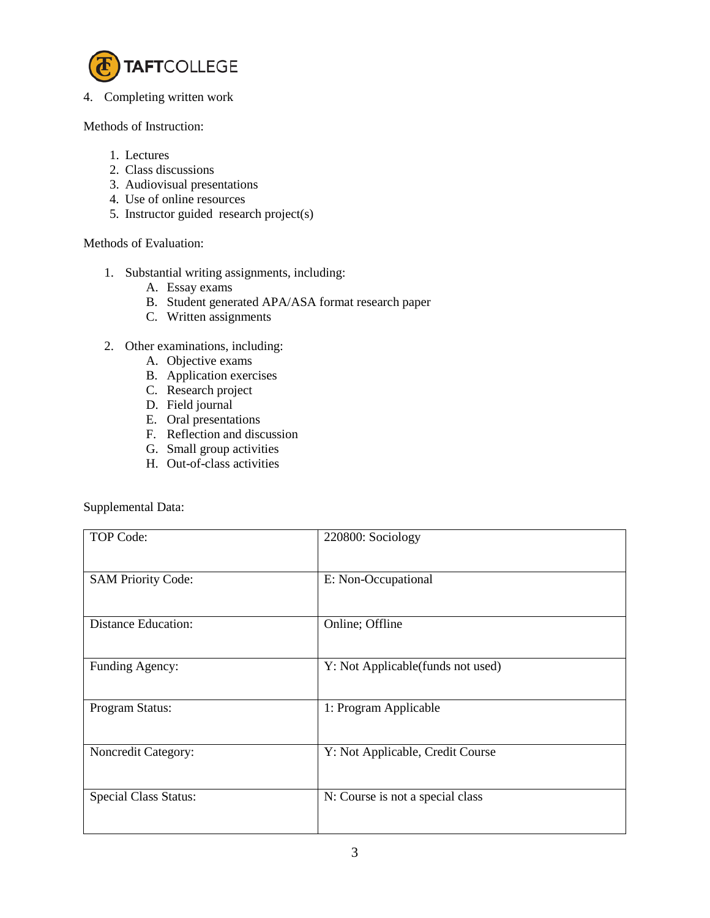

4. Completing written work

Methods of Instruction:

- 1. Lectures
- 2. Class discussions
- 3. Audiovisual presentations
- 4. Use of online resources
- 5. Instructor guided research project(s)

## Methods of Evaluation:

- 1. Substantial writing assignments, including:
	- A. Essay exams
	- B. Student generated APA/ASA format research paper
	- C. Written assignments
- 2. Other examinations, including:
	- A. Objective exams
	- B. Application exercises
	- C. Research project
	- D. Field journal
	- E. Oral presentations
	- F. Reflection and discussion
	- G. Small group activities
	- H. Out-of-class activities

Supplemental Data:

| <b>TOP Code:</b>             | 220800: Sociology                 |
|------------------------------|-----------------------------------|
| <b>SAM Priority Code:</b>    | E: Non-Occupational               |
| <b>Distance Education:</b>   | Online; Offline                   |
| Funding Agency:              | Y: Not Applicable(funds not used) |
| Program Status:              | 1: Program Applicable             |
| Noncredit Category:          | Y: Not Applicable, Credit Course  |
| <b>Special Class Status:</b> | N: Course is not a special class  |